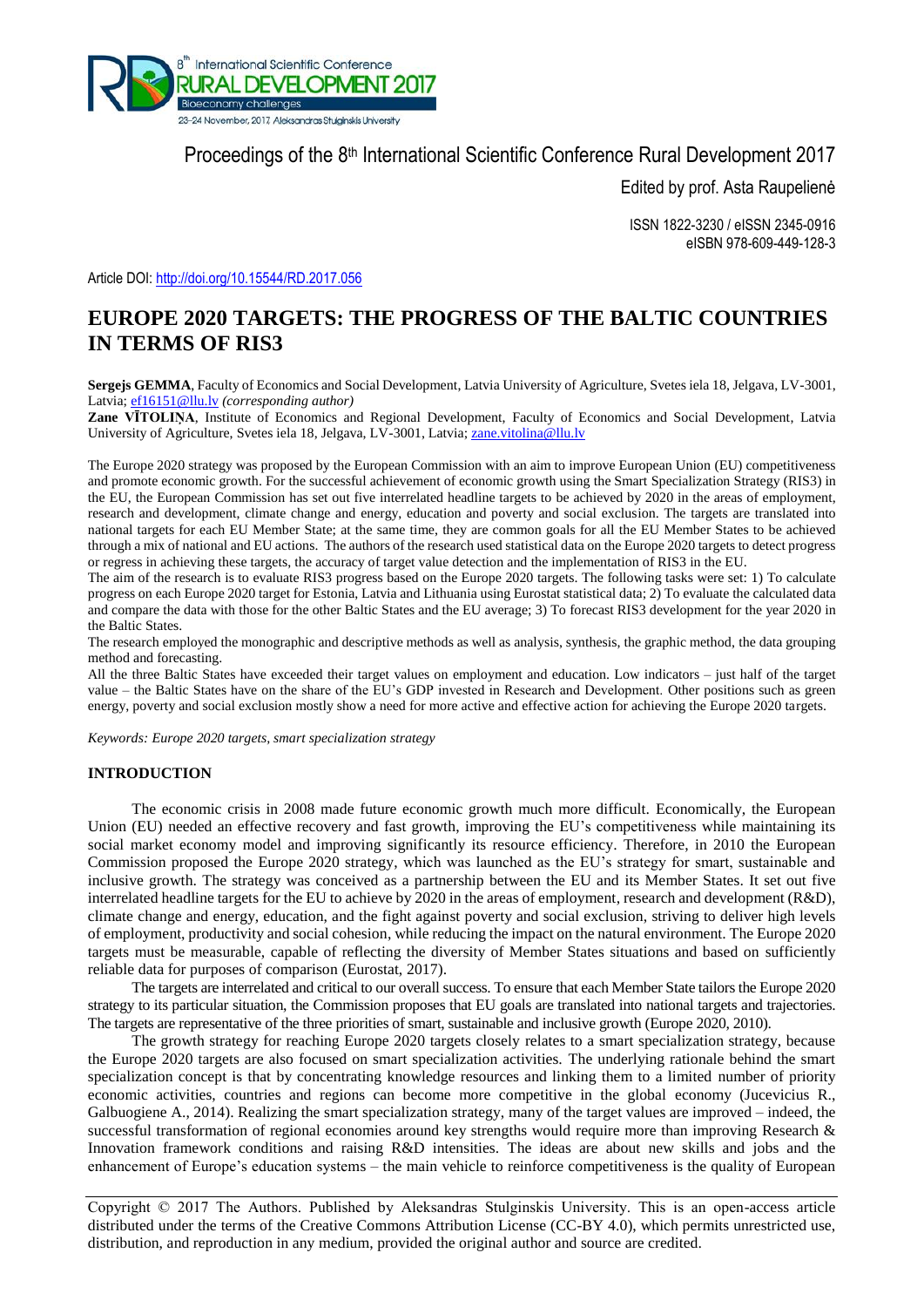

Proceedings of the 8<sup>th</sup> International Scientific Conference Rural Development 2017

Edited by prof. Asta Raupelienė

ISSN 1822-3230 / eISSN 2345-0916 eISBN 978-609-449-128-3

Article DOI: http://doi.org/10.15544/RD.2017.056

# **EUROPE 2020 TARGETS: THE PROGRESS OF THE BALTIC COUNTRIES IN TERMS OF RIS3**

**Sergejs GEMMA**, Faculty of Economics and Social Development, Latvia University of Agriculture, Svetes iela 18, Jelgava, LV-3001, Latvia[; ef16151@llu.lv](mailto:ef16151@llu.lv) *(corresponding author)*

**Zane VĪTOLIŅA**, Institute of Economics and Regional Development, Faculty of Economics and Social Development, Latvia University of Agriculture, Svetes iela 18, Jelgava, LV-3001, Latvia; [zane.vitolina@llu.lv](mailto:zane.vitolina@llu.lv)

The Europe 2020 strategy was proposed by the European Commission with an aim to improve European Union (EU) competitiveness and promote economic growth. For the successful achievement of economic growth using the Smart Specialization Strategy (RIS3) in the EU, the European Commission has set out five interrelated headline targets to be achieved by 2020 in the areas of employment, research and development, climate change and energy, education and poverty and social exclusion. The targets are translated into national targets for each EU Member State; at the same time, they are common goals for all the EU Member States to be achieved through a mix of national and EU actions. The authors of the research used statistical data on the Europe 2020 targets to detect progress or regress in achieving these targets, the accuracy of target value detection and the implementation of RIS3 in the EU.

The aim of the research is to evaluate RIS3 progress based on the Europe 2020 targets. The following tasks were set: 1) To calculate progress on each Europe 2020 target for Estonia, Latvia and Lithuania using Eurostat statistical data; 2) To evaluate the calculated data and compare the data with those for the other Baltic States and the EU average; 3) To forecast RIS3 development for the year 2020 in the Baltic States.

The research employed the monographic and descriptive methods as well as analysis, synthesis, the graphic method, the data grouping method and forecasting.

All the three Baltic States have exceeded their target values on employment and education. Low indicators – just half of the target value – the Baltic States have on the share of the EU's GDP invested in Research and Development. Other positions such as green energy, poverty and social exclusion mostly show a need for more active and effective action for achieving the Europe 2020 targets.

*Keywords: Europe 2020 targets, smart specialization strategy*

## **INTRODUCTION**

The economic crisis in 2008 made future economic growth much more difficult. Economically, the European Union (EU) needed an effective recovery and fast growth, improving the EU's competitiveness while maintaining its social market economy model and improving significantly its resource efficiency. Therefore, in 2010 the European Commission proposed the Europe 2020 strategy, which was launched as the EU's strategy for smart, sustainable and inclusive growth. The strategy was conceived as a partnership between the EU and its Member States. It set out five interrelated headline targets for the EU to achieve by 2020 in the areas of employment, research and development (R&D), climate change and energy, education, and the fight against poverty and social exclusion, striving to deliver high levels of employment, productivity and social cohesion, while reducing the impact on the natural environment. The Europe 2020 targets must be measurable, capable of reflecting the diversity of Member States situations and based on sufficiently reliable data for purposes of comparison (Eurostat, 2017).

The targets are interrelated and critical to our overall success. To ensure that each Member State tailors the Europe 2020 strategy to its particular situation, the Commission proposes that EU goals are translated into national targets and trajectories. The targets are representative of the three priorities of smart, sustainable and inclusive growth (Europe 2020, 2010).

The growth strategy for reaching Europe 2020 targets closely relates to a smart specialization strategy, because the Europe 2020 targets are also focused on smart specialization activities. The underlying rationale behind the smart specialization concept is that by concentrating knowledge resources and linking them to a limited number of priority economic activities, countries and regions can become more competitive in the global economy (Jucevicius R., Galbuogiene A., 2014). Realizing the smart specialization strategy, many of the target values are improved – indeed, the successful transformation of regional economies around key strengths would require more than improving Research  $\&$ Innovation framework conditions and raising R&D intensities. The ideas are about new skills and jobs and the enhancement of Europe's education systems – the main vehicle to reinforce competitiveness is the quality of European

Copyright © 2017 The Authors. Published by Aleksandras Stulginskis University. This is an open-access article distributed under the terms of the Creative Commons Attribution License (CC-BY 4.0), which permits unrestricted use, distribution, and reproduction in any medium, provided the original author and source are credited.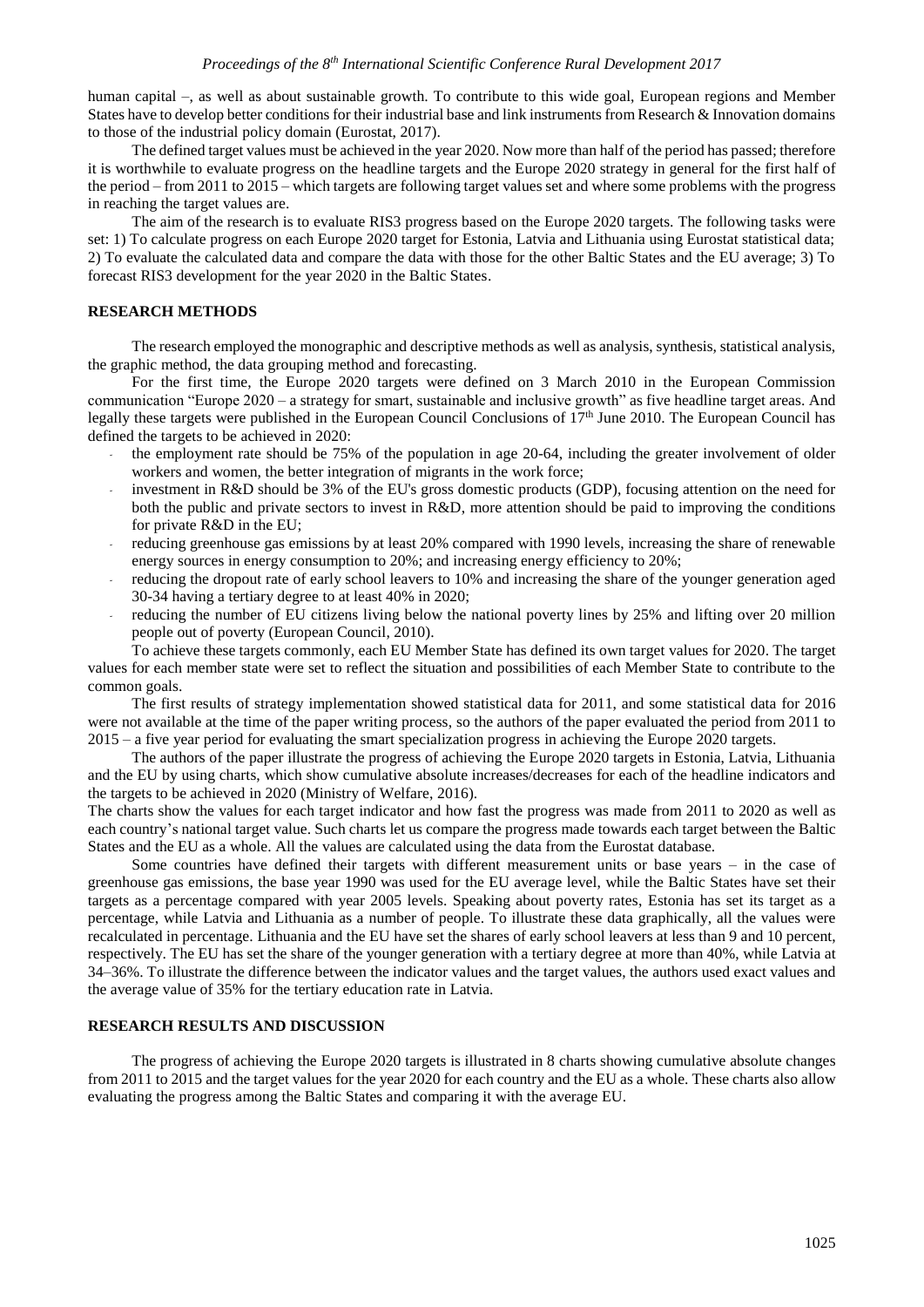human capital –, as well as about sustainable growth. To contribute to this wide goal, European regions and Member States have to develop better conditions for their industrial base and link instruments from Research & Innovation domains to those of the industrial policy domain (Eurostat, 2017).

The defined target values must be achieved in the year 2020. Now more than half of the period has passed; therefore it is worthwhile to evaluate progress on the headline targets and the Europe 2020 strategy in general for the first half of the period – from 2011 to 2015 – which targets are following target values set and where some problems with the progress in reaching the target values are.

The aim of the research is to evaluate RIS3 progress based on the Europe 2020 targets. The following tasks were set: 1) To calculate progress on each Europe 2020 target for Estonia, Latvia and Lithuania using Eurostat statistical data; 2) To evaluate the calculated data and compare the data with those for the other Baltic States and the EU average; 3) To forecast RIS3 development for the year 2020 in the Baltic States.

## **RESEARCH METHODS**

The research employed the monographic and descriptive methods as well as analysis, synthesis, statistical analysis, the graphic method, the data grouping method and forecasting.

For the first time, the Europe 2020 targets were defined on 3 March 2010 in the European Commission communication "Europe 2020 – a strategy for smart, sustainable and inclusive growth" as five headline target areas. And legally these targets were published in the European Council Conclusions of 17th June 2010. The European Council has defined the targets to be achieved in 2020:

- *-* the employment rate should be 75% of the population in age 20-64, including the greater involvement of older workers and women, the better integration of migrants in the work force;
- *-* investment in R&D should be 3% of the EU's gross domestic products (GDP), focusing attention on the need for both the public and private sectors to invest in R&D, more attention should be paid to improving the conditions for private R&D in the EU;
- *-* reducing greenhouse gas emissions by at least 20% compared with 1990 levels, increasing the share of renewable energy sources in energy consumption to 20%; and increasing energy efficiency to 20%;
- *-* reducing the dropout rate of early school leavers to 10% and increasing the share of the younger generation aged 30-34 having a tertiary degree to at least 40% in 2020;
- reducing the number of EU citizens living below the national poverty lines by 25% and lifting over 20 million people out of poverty (European Council, 2010).

To achieve these targets commonly, each EU Member State has defined its own target values for 2020. The target values for each member state were set to reflect the situation and possibilities of each Member State to contribute to the common goals.

The first results of strategy implementation showed statistical data for 2011, and some statistical data for 2016 were not available at the time of the paper writing process, so the authors of the paper evaluated the period from 2011 to 2015 – a five year period for evaluating the smart specialization progress in achieving the Europe 2020 targets.

The authors of the paper illustrate the progress of achieving the Europe 2020 targets in Estonia, Latvia, Lithuania and the EU by using charts, which show cumulative absolute increases/decreases for each of the headline indicators and the targets to be achieved in 2020 (Ministry of Welfare, 2016).

The charts show the values for each target indicator and how fast the progress was made from 2011 to 2020 as well as each country's national target value. Such charts let us compare the progress made towards each target between the Baltic States and the EU as a whole. All the values are calculated using the data from the Eurostat database.

Some countries have defined their targets with different measurement units or base years – in the case of greenhouse gas emissions, the base year 1990 was used for the EU average level, while the Baltic States have set their targets as a percentage compared with year 2005 levels. Speaking about poverty rates, Estonia has set its target as a percentage, while Latvia and Lithuania as a number of people. To illustrate these data graphically, all the values were recalculated in percentage. Lithuania and the EU have set the shares of early school leavers at less than 9 and 10 percent, respectively. The EU has set the share of the younger generation with a tertiary degree at more than 40%, while Latvia at 34–36%. To illustrate the difference between the indicator values and the target values, the authors used exact values and the average value of 35% for the tertiary education rate in Latvia.

#### **RESEARCH RESULTS AND DISCUSSION**

The progress of achieving the Europe 2020 targets is illustrated in 8 charts showing cumulative absolute changes from 2011 to 2015 and the target values for the year 2020 for each country and the EU as a whole. These charts also allow evaluating the progress among the Baltic States and comparing it with the average EU.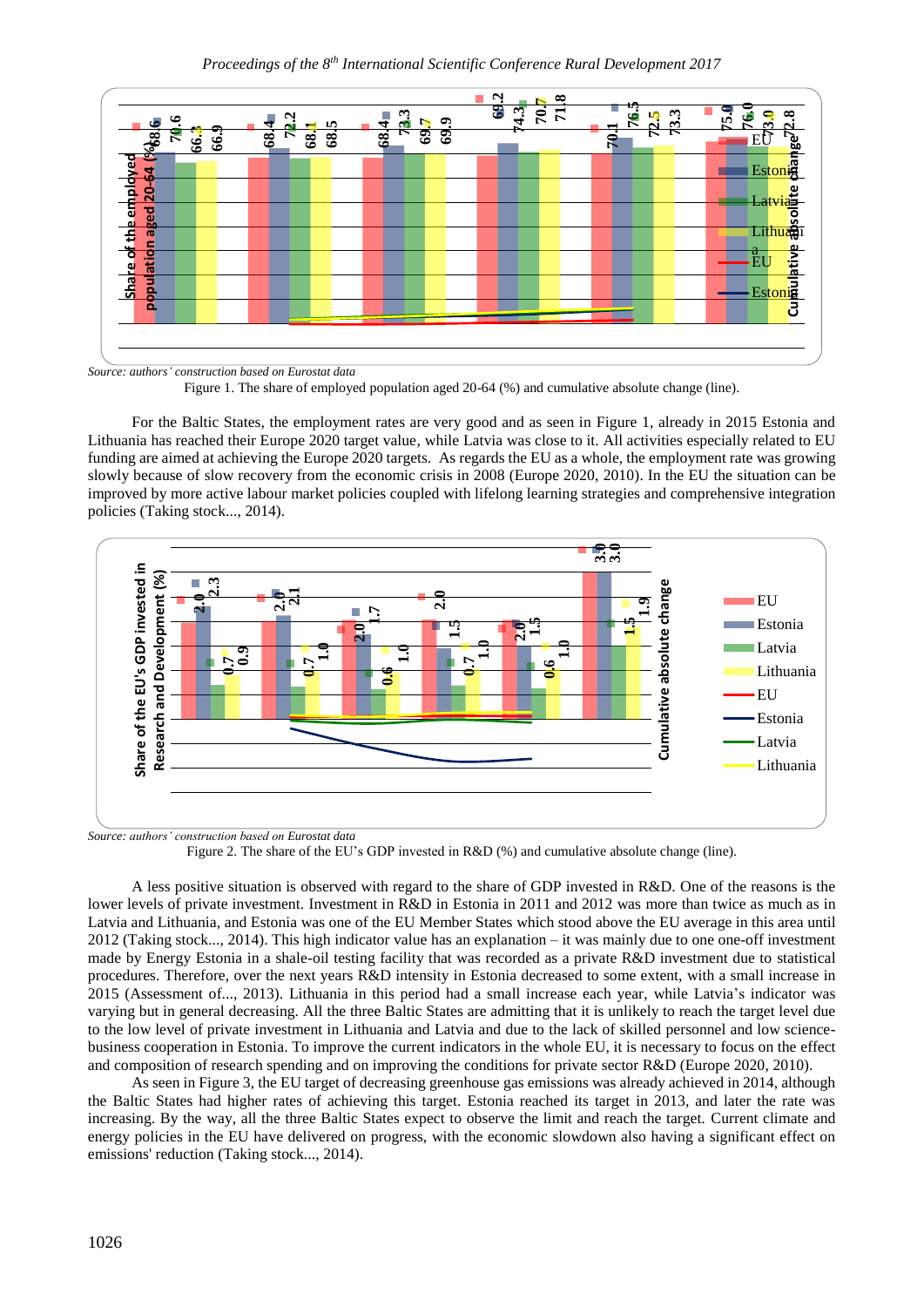

*Source: authors' construction based on Eurostat data*

Figure 1. The share of employed population aged 20-64 (%) and cumulative absolute change (line).

For the Baltic States, the employment rates are very good and as seen in Figure 1, already in 2015 Estonia and Lithuania has reached their Europe 2020 target value, while Latvia was close to it. All activities especially related to EU funding are aimed at achieving the Europe 2020 targets. As regards the EU as a whole, the employment rate was growing slowly because of slow recovery from the economic crisis in 2008 (Europe 2020, 2010). In the EU the situation can be improved by more active labour market policies coupled with lifelong learning strategies and comprehensive integration policies (Taking stock..., 2014).



*Source: authors' construction based on Eurostat data*

Figure 2. The share of the EU's GDP invested in R&D (%) and cumulative absolute change (line).

A less positive situation is observed with regard to the share of GDP invested in R&D. One of the reasons is the lower levels of private investment. Investment in R&D in Estonia in 2011 and 2012 was more than twice as much as in Latvia and Lithuania, and Estonia was one of the EU Member States which stood above the EU average in this area until 2012 (Taking stock..., 2014). This high indicator value has an explanation – it was mainly due to one one-off investment made by Energy Estonia in a shale-oil testing facility that was recorded as a private R&D investment due to statistical procedures. Therefore, over the next years R&D intensity in Estonia decreased to some extent, with a small increase in 2015 (Assessment of..., 2013). Lithuania in this period had a small increase each year, while Latvia's indicator was varying but in general decreasing. All the three Baltic States are admitting that it is unlikely to reach the target level due to the low level of private investment in Lithuania and Latvia and due to the lack of skilled personnel and low sciencebusiness cooperation in Estonia. To improve the current indicators in the whole EU, it is necessary to focus on the effect and composition of research spending and on improving the conditions for private sector R&D (Europe 2020, 2010).

As seen in Figure 3, the EU target of decreasing greenhouse gas emissions was already achieved in 2014, although the Baltic States had higher rates of achieving this target. Estonia reached its target in 2013, and later the rate was increasing. By the way, all the three Baltic States expect to observe the limit and reach the target. Current climate and energy policies in the EU have delivered on progress, with the economic slowdown also having a significant effect on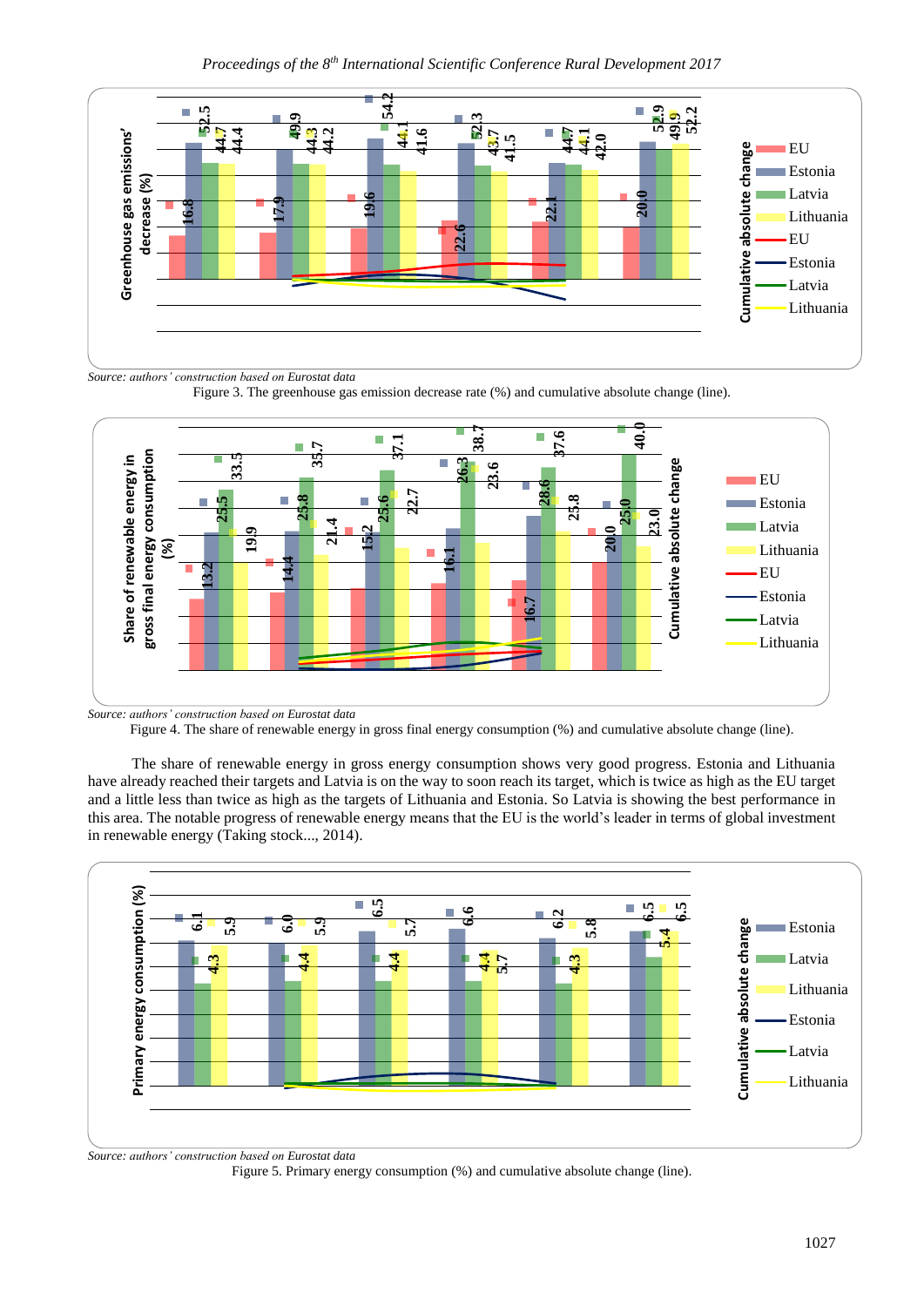

*Source: authors' construction based on Eurostat data*



Figure 3. The greenhouse gas emission decrease rate (%) and cumulative absolute change (line).

The share of renewable energy in gross energy consumption shows very good progress. Estonia and Lithuania have already reached their targets and Latvia is on the way to soon reach its target, which is twice as high as the EU target and a little less than twice as high as the targets of Lithuania and Estonia. So Latvia is showing the best performance in this area. The notable progress of renewable energy means that the EU is the world's leader in terms of global investment in renewable energy (Taking stock..., 2014).



*Source: authors' construction based on Eurostat data*

Figure 5. Primary energy consumption (%) and cumulative absolute change (line).

Figure 4. The share of renewable energy in gross final energy consumption (%) and cumulative absolute change (line).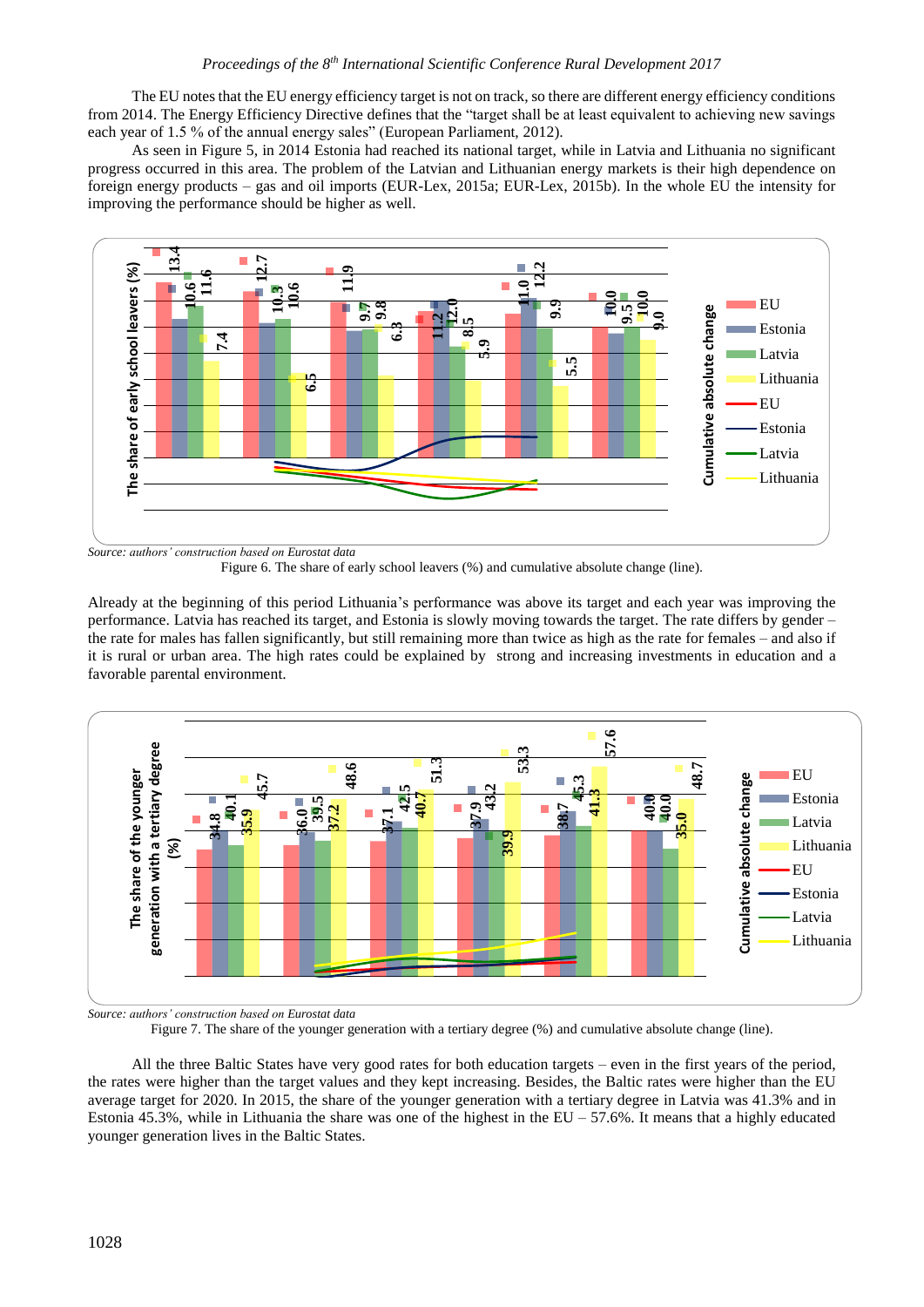The EU notes that the EU energy efficiency target is not on track, so there are different energy efficiency conditions from 2014. The Energy Efficiency Directive defines that the "target shall be at least equivalent to achieving new savings each year of 1.5 % of the annual energy sales" (European Parliament, 2012).

As seen in Figure 5, in 2014 Estonia had reached its national target, while in Latvia and Lithuania no significant progress occurred in this area. The problem of the Latvian and Lithuanian energy markets is their high dependence on foreign energy products – gas and oil imports (EUR-Lex, 2015a; EUR-Lex, 2015b). In the whole EU the intensity for improving the performance should be higher as well.



*Source: authors' construction based on Eurostat data*

Figure 6. The share of early school leavers (%) and cumulative absolute change (line).

Already at the beginning of this period Lithuania's performance was above its target and each year was improving the performance. Latvia has reached its target, and Estonia is slowly moving towards the target. The rate differs by gender – the rate for males has fallen significantly, but still remaining more than twice as high as the rate for females – and also if it is rural or urban area. The high rates could be explained by strong and increasing investments in education and a favorable parental environment.



*Source: authors' construction based on Eurostat data*

Figure 7. The share of the younger generation with a tertiary degree (%) and cumulative absolute change (line).

All the three Baltic States have very good rates for both education targets – even in the first years of the period, the rates were higher than the target values and they kept increasing. Besides, the Baltic rates were higher than the EU average target for 2020. In 2015, the share of the younger generation with a tertiary degree in Latvia was 41.3% and in Estonia 45.3%, while in Lithuania the share was one of the highest in the  $EU - 57.6\%$ . It means that a highly educated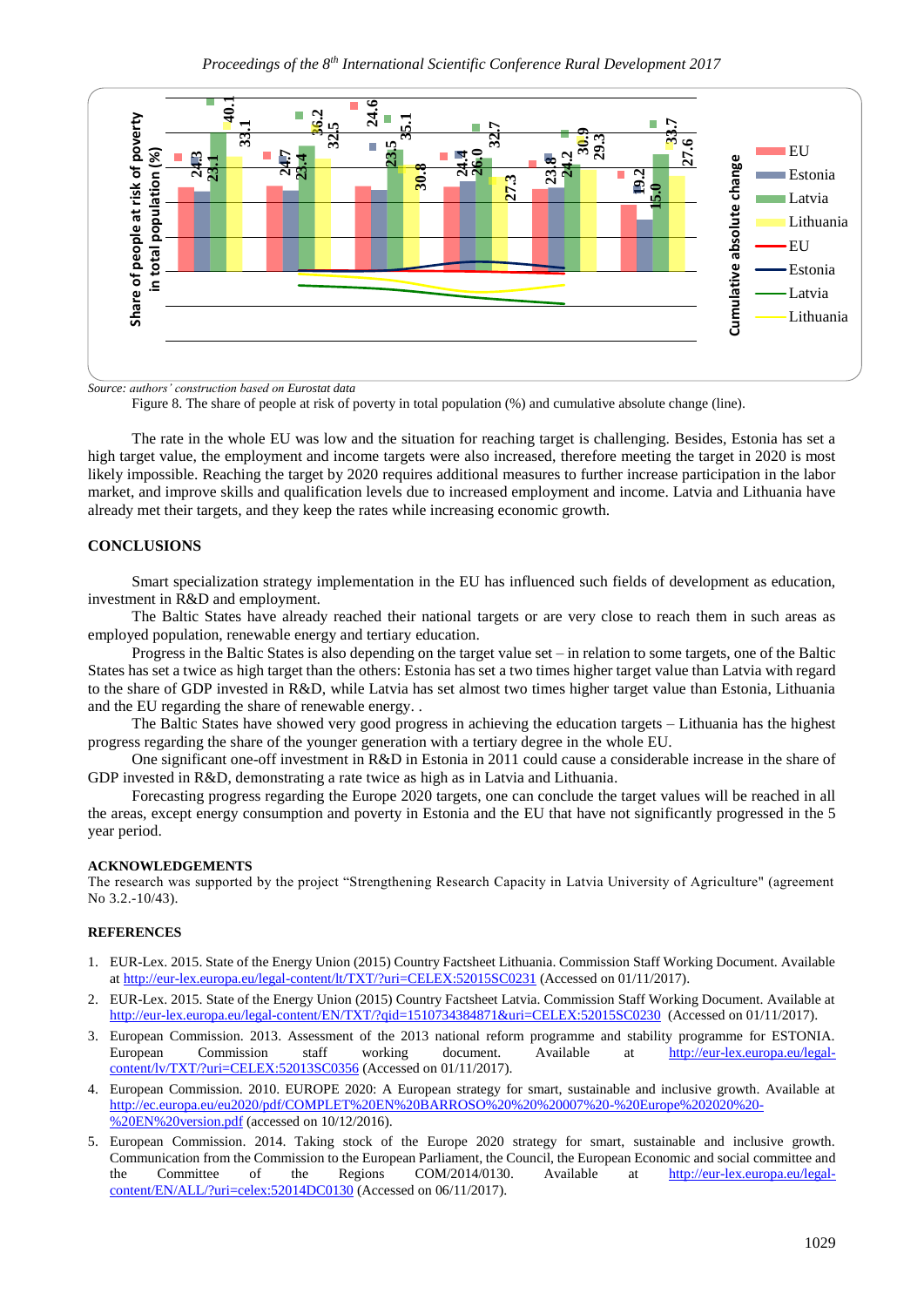

*Source: authors' construction based on Eurostat data*

Figure 8. The share of people at risk of poverty in total population (%) and cumulative absolute change (line).

The rate in the whole EU was low and the situation for reaching target is challenging. Besides, Estonia has set a high target value, the employment and income targets were also increased, therefore meeting the target in 2020 is most likely impossible. Reaching the target by 2020 requires additional measures to further increase participation in the labor market, and improve skills and qualification levels due to increased employment and income. Latvia and Lithuania have already met their targets, and they keep the rates while increasing economic growth.

### **CONCLUSIONS**

Smart specialization strategy implementation in the EU has influenced such fields of development as education, investment in R&D and employment.

The Baltic States have already reached their national targets or are very close to reach them in such areas as employed population, renewable energy and tertiary education.

Progress in the Baltic States is also depending on the target value set – in relation to some targets, one of the Baltic States has set a twice as high target than the others: Estonia has set a two times higher target value than Latvia with regard to the share of GDP invested in R&D, while Latvia has set almost two times higher target value than Estonia, Lithuania and the EU regarding the share of renewable energy. .

The Baltic States have showed very good progress in achieving the education targets – Lithuania has the highest progress regarding the share of the younger generation with a tertiary degree in the whole EU.

One significant one-off investment in R&D in Estonia in 2011 could cause a considerable increase in the share of GDP invested in R&D, demonstrating a rate twice as high as in Latvia and Lithuania.

Forecasting progress regarding the Europe 2020 targets, one can conclude the target values will be reached in all the areas, except energy consumption and poverty in Estonia and the EU that have not significantly progressed in the 5 year period.

#### **ACKNOWLEDGEMENTS**

The research was supported by the project "Strengthening Research Capacity in Latvia University of Agriculture" (agreement No 3.2.-10/43).

#### **REFERENCES**

- 1. EUR-Lex. 2015. State of the Energy Union (2015) Country Factsheet Lithuania. Commission Staff Working Document. Available a[t http://eur-lex.europa.eu/legal-content/lt/TXT/?uri=CELEX:52015SC0231](http://eur-lex.europa.eu/legal-content/lt/TXT/?uri=CELEX:52015SC0231) (Accessed on 01/11/2017).
- 2. EUR-Lex. 2015. State of the Energy Union (2015) Country Factsheet Latvia. Commission Staff Working Document. Available at <http://eur-lex.europa.eu/legal-content/EN/TXT/?qid=1510734384871&uri=CELEX:52015SC0230> (Accessed on 01/11/2017).
- 3. European Commission. 2013. Assessment of the 2013 national reform programme and stability programme for ESTONIA. European Commission staff working document. Available at [http://eur-lex.europa.eu/legal](http://eur-lex.europa.eu/legal-content/lv/TXT/?uri=CELEX:52013SC0356)[content/lv/TXT/?uri=CELEX:52013SC0356](http://eur-lex.europa.eu/legal-content/lv/TXT/?uri=CELEX:52013SC0356) (Accessed on 01/11/2017).
- 4. European Commission. 2010. EUROPE 2020: A European strategy for smart, sustainable and inclusive growth. Available at [http://ec.europa.eu/eu2020/pdf/COMPLET%20EN%20BARROSO%20%20%20007%20-%20Europe%202020%20-](http://ec.europa.eu/eu2020/pdf/COMPLET%20EN%20BARROSO%20%20%20007%20-%20Europe%202020%20-%20EN%20version.pdf) [%20EN%20version.pdf](http://ec.europa.eu/eu2020/pdf/COMPLET%20EN%20BARROSO%20%20%20007%20-%20Europe%202020%20-%20EN%20version.pdf) (accessed on 10/12/2016).
- 5. European Commission. 2014. Taking stock of the Europe 2020 strategy for smart, sustainable and inclusive growth. Communication from the Commission to the European Parliament, the Council, the European Economic and social committee and the Committee of the Regions COM/2014/0130. Available at [http://eur-lex.europa.eu/legal-](http://eur-lex.europa.eu/legal-content/EN/ALL/?uri=celex:52014DC0130)